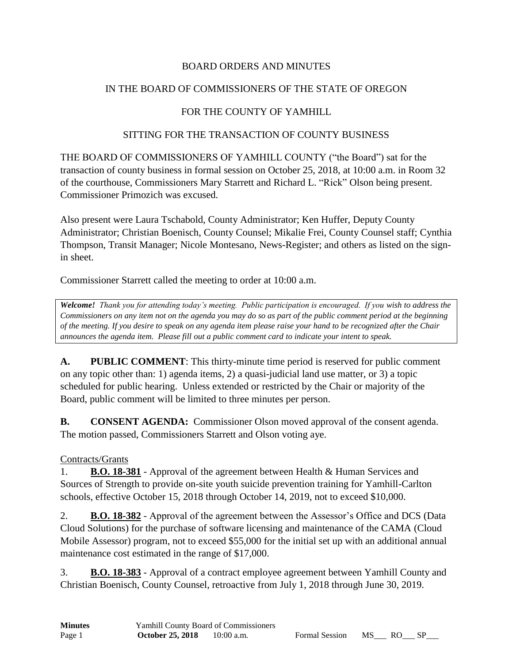#### BOARD ORDERS AND MINUTES

### IN THE BOARD OF COMMISSIONERS OF THE STATE OF OREGON

### FOR THE COUNTY OF YAMHILL

#### SITTING FOR THE TRANSACTION OF COUNTY BUSINESS

THE BOARD OF COMMISSIONERS OF YAMHILL COUNTY ("the Board") sat for the transaction of county business in formal session on October 25, 2018, at 10:00 a.m. in Room 32 of the courthouse, Commissioners Mary Starrett and Richard L. "Rick" Olson being present. Commissioner Primozich was excused.

Also present were Laura Tschabold, County Administrator; Ken Huffer, Deputy County Administrator; Christian Boenisch, County Counsel; Mikalie Frei, County Counsel staff; Cynthia Thompson, Transit Manager; Nicole Montesano, News-Register; and others as listed on the signin sheet.

Commissioner Starrett called the meeting to order at 10:00 a.m.

*Welcome! Thank you for attending today's meeting. Public participation is encouraged. If you wish to address the Commissioners on any item not on the agenda you may do so as part of the public comment period at the beginning of the meeting. If you desire to speak on any agenda item please raise your hand to be recognized after the Chair announces the agenda item. Please fill out a public comment card to indicate your intent to speak.*

**A. PUBLIC COMMENT**: This thirty-minute time period is reserved for public comment on any topic other than: 1) agenda items, 2) a quasi-judicial land use matter, or 3) a topic scheduled for public hearing. Unless extended or restricted by the Chair or majority of the Board, public comment will be limited to three minutes per person.

**B. CONSENT AGENDA:** Commissioner Olson moved approval of the consent agenda. The motion passed, Commissioners Starrett and Olson voting aye.

#### Contracts/Grants

1. **B.O. 18-381** - Approval of the agreement between Health & Human Services and Sources of Strength to provide on-site youth suicide prevention training for Yamhill-Carlton schools, effective October 15, 2018 through October 14, 2019, not to exceed \$10,000.

2. **B.O. 18-382** - Approval of the agreement between the Assessor's Office and DCS (Data Cloud Solutions) for the purchase of software licensing and maintenance of the CAMA (Cloud Mobile Assessor) program, not to exceed \$55,000 for the initial set up with an additional annual maintenance cost estimated in the range of \$17,000.

3. **B.O. 18-383** - Approval of a contract employee agreement between Yamhill County and Christian Boenisch, County Counsel, retroactive from July 1, 2018 through June 30, 2019.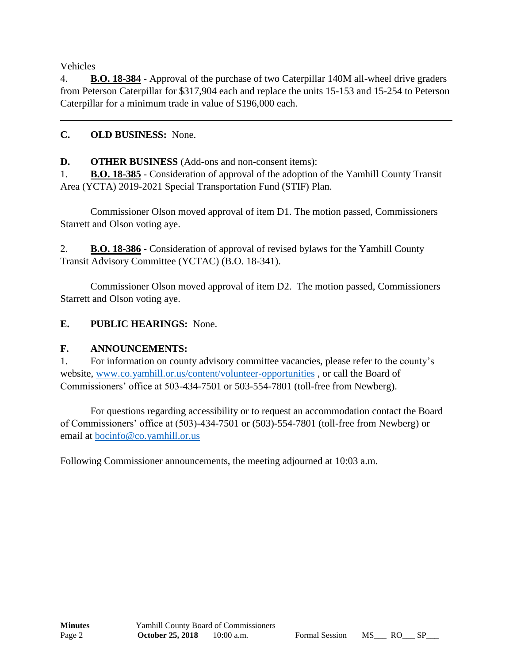Vehicles

4. **B.O. 18-384** - Approval of the purchase of two Caterpillar 140M all-wheel drive graders from Peterson Caterpillar for \$317,904 each and replace the units 15-153 and 15-254 to Peterson Caterpillar for a minimum trade in value of \$196,000 each.

## **C. OLD BUSINESS:** None.

**D. OTHER BUSINESS** (Add-ons and non-consent items):

1. **B.O. 18-385** - Consideration of approval of the adoption of the Yamhill County Transit Area (YCTA) 2019-2021 Special Transportation Fund (STIF) Plan.

Commissioner Olson moved approval of item D1. The motion passed, Commissioners Starrett and Olson voting aye.

2. **B.O. 18-386** - Consideration of approval of revised bylaws for the Yamhill County Transit Advisory Committee (YCTAC) (B.O. 18-341).

Commissioner Olson moved approval of item D2. The motion passed, Commissioners Starrett and Olson voting aye.

## **E. PUBLIC HEARINGS:** None.

## **F. ANNOUNCEMENTS:**

1. For information on county advisory committee vacancies, please refer to the county's website, [www.co.yamhill.or.us/content/volunteer-opportunities](http://www.co.yamhill.or.us/content/volunteer-opportunities) , or call the Board of Commissioners' office at 503-434-7501 or 503-554-7801 (toll-free from Newberg).

For questions regarding accessibility or to request an accommodation contact the Board of Commissioners' office at (503)-434-7501 or (503)-554-7801 (toll-free from Newberg) or email at [bocinfo@co.yamhill.or.us](mailto:bocinfo@co.yamhill.or.us)

Following Commissioner announcements, the meeting adjourned at 10:03 a.m.